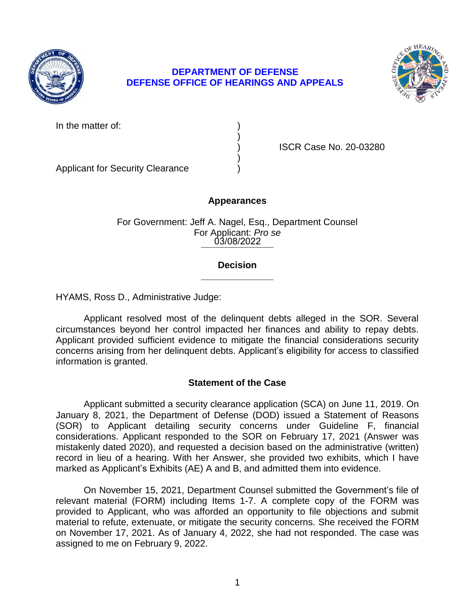

# **DEFENSE OFFICE OF HEARINGS AND APPEALS DEPARTMENT OF DEFENSE**



In the matter of:

) ISCR Case No. 20-03280

Applicant for Security Clearance )

## **Appearances**

)

)

**\_\_\_\_\_\_\_\_\_\_\_\_\_\_**  03/08/2022 For Government: Jeff A. Nagel, Esq., Department Counsel For Applicant: *Pro se* 

### **\_\_\_\_\_\_\_\_\_\_\_\_\_\_ Decision**

HYAMS, Ross D., Administrative Judge:

 Applicant resolved most of the delinquent debts alleged in the SOR. Several circumstances beyond her control impacted her finances and ability to repay debts. Applicant provided sufficient evidence to mitigate the financial considerations security concerns arising from her delinquent debts. Applicant's eligibility for access to classified information is granted.

# **Statement of the Case**

 Applicant submitted a security clearance application (SCA) on June 11, 2019. On January 8, 2021, the Department of Defense (DOD) issued a Statement of Reasons (SOR) to Applicant detailing security concerns under Guideline F, financial considerations. Applicant responded to the SOR on February 17, 2021 (Answer was mistakenly dated 2020), and requested a decision based on the administrative (written) record in lieu of a hearing. With her Answer, she provided two exhibits, which I have marked as Applicant's Exhibits (AE) A and B, and admitted them into evidence.

 relevant material (FORM) including Items 1-7. A complete copy of the FORM was provided to Applicant, who was afforded an opportunity to file objections and submit material to refute, extenuate, or mitigate the security concerns. She received the FORM on November 17, 2021. As of January 4, 2022, she had not responded. The case was On November 15, 2021, Department Counsel submitted the Government's file of assigned to me on February 9, 2022.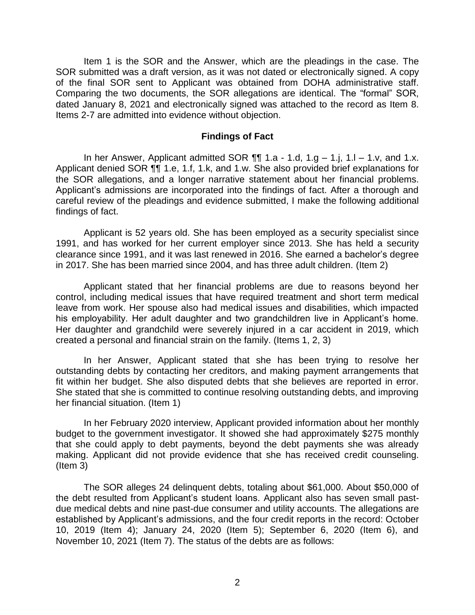Item 1 is the SOR and the Answer, which are the pleadings in the case. The SOR submitted was a draft version, as it was not dated or electronically signed. A copy of the final SOR sent to Applicant was obtained from DOHA administrative staff. Comparing the two documents, the SOR allegations are identical. The "formal" SOR, dated January 8, 2021 and electronically signed was attached to the record as Item 8. Items 2-7 are admitted into evidence without objection.

#### **Findings of Fact**

Applicant denied SOR ¶¶ 1.e, 1.f, 1.k, and 1.w. She also provided brief explanations for the SOR allegations, and a longer narrative statement about her financial problems. Applicant's admissions are incorporated into the findings of fact. After a thorough and careful review of the pleadings and evidence submitted, I make the following additional In her Answer, Applicant admitted SOR  $\P\P$  1.a - 1.d, 1.g – 1.j, 1.l – 1.v, and 1.x. findings of fact.

 Applicant is 52 years old. She has been employed as a security specialist since 1991, and has worked for her current employer since 2013. She has held a security clearance since 1991, and it was last renewed in 2016. She earned a bachelor's degree in 2017. She has been married since 2004, and has three adult children. (Item 2)

 Applicant stated that her financial problems are due to reasons beyond her control, including medical issues that have required treatment and short term medical leave from work. Her spouse also had medical issues and disabilities, which impacted his employability. Her adult daughter and two grandchildren live in Applicant's home. Her daughter and grandchild were severely injured in a car accident in 2019, which created a personal and financial strain on the family. (Items 1, 2, 3)

 In her Answer, Applicant stated that she has been trying to resolve her outstanding debts by contacting her creditors, and making payment arrangements that fit within her budget. She also disputed debts that she believes are reported in error. She stated that she is committed to continue resolving outstanding debts, and improving her financial situation. (Item 1)

 In her February 2020 interview, Applicant provided information about her monthly budget to the government investigator. It showed she had approximately \$275 monthly that she could apply to debt payments, beyond the debt payments she was already making. Applicant did not provide evidence that she has received credit counseling. (Item 3)

 The SOR alleges 24 delinquent debts, totaling about \$61,000. About \$50,000 of the debt resulted from Applicant's student loans. Applicant also has seven small past- due medical debts and nine past-due consumer and utility accounts. The allegations are established by Applicant's admissions, and the four credit reports in the record: October 10, 2019 (Item 4); January 24, 2020 (Item 5); September 6, 2020 (Item 6), and November 10, 2021 (Item 7). The status of the debts are as follows: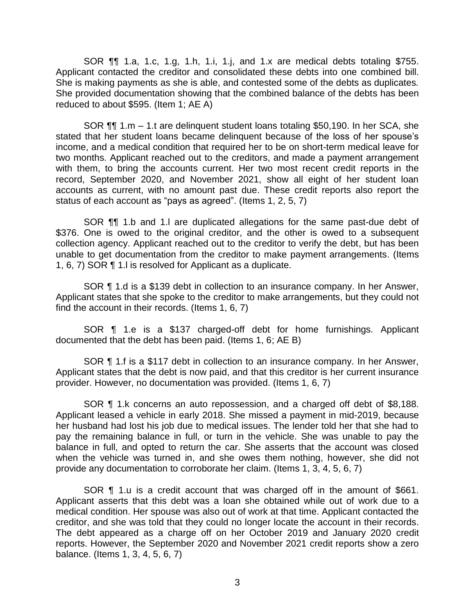SOR ¶¶ 1.a, 1.c, 1.g, 1.h, 1.i, 1.j, and 1.x are medical debts totaling \$755. Applicant contacted the creditor and consolidated these debts into one combined bill. She is making payments as she is able, and contested some of the debts as duplicates. She provided documentation showing that the combined balance of the debts has been reduced to about \$595. (Item 1; AE A)

 SOR ¶¶ 1.m – 1.t are delinquent student loans totaling \$50,190. In her SCA, she stated that her student loans became delinquent because of the loss of her spouse's income, and a medical condition that required her to be on short-term medical leave for two months. Applicant reached out to the creditors, and made a payment arrangement with them, to bring the accounts current. Her two most recent credit reports in the record, September 2020, and November 2021, show all eight of her student loan accounts as current, with no amount past due. These credit reports also report the status of each account as "pays as agreed". (Items 1, 2, 5, 7)

SOR **[1]** 1.b and 1.l are duplicated allegations for the same past-due debt of \$376. One is owed to the original creditor, and the other is owed to a subsequent collection agency. Applicant reached out to the creditor to verify the debt, but has been unable to get documentation from the creditor to make payment arrangements. (Items 1, 6, 7) SOR ¶ 1.l is resolved for Applicant as a duplicate.

 SOR ¶ 1.d is a \$139 debt in collection to an insurance company. In her Answer, Applicant states that she spoke to the creditor to make arrangements, but they could not find the account in their records. (Items 1, 6, 7)

 SOR ¶ 1.e is a \$137 charged-off debt for home furnishings. Applicant documented that the debt has been paid. (Items 1, 6; AE B)

 SOR ¶ 1.f is a \$117 debt in collection to an insurance company. In her Answer, Applicant states that the debt is now paid, and that this creditor is her current insurance provider. However, no documentation was provided. (Items 1, 6, 7)

SOR ¶ 1.k concerns an auto repossession, and a charged off debt of \$8,188. Applicant leased a vehicle in early 2018. She missed a payment in mid-2019, because her husband had lost his job due to medical issues. The lender told her that she had to pay the remaining balance in full, or turn in the vehicle. She was unable to pay the balance in full, and opted to return the car. She asserts that the account was closed when the vehicle was turned in, and she owes them nothing, however, she did not provide any documentation to corroborate her claim. (Items 1, 3, 4, 5, 6, 7)

 SOR ¶ 1.u is a credit account that was charged off in the amount of \$661. Applicant asserts that this debt was a loan she obtained while out of work due to a medical condition. Her spouse was also out of work at that time. Applicant contacted the creditor, and she was told that they could no longer locate the account in their records. The debt appeared as a charge off on her October 2019 and January 2020 credit reports. However, the September 2020 and November 2021 credit reports show a zero balance. (Items 1, 3, 4, 5, 6, 7)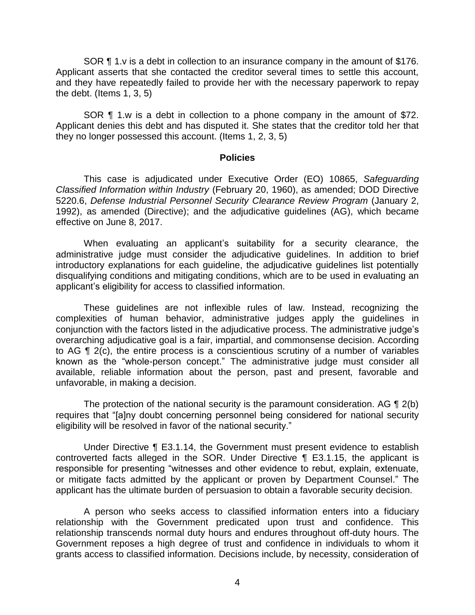SOR ¶ 1.v is a debt in collection to an insurance company in the amount of \$176. Applicant asserts that she contacted the creditor several times to settle this account, and they have repeatedly failed to provide her with the necessary paperwork to repay the debt. (Items  $1, 3, 5$ )

SOR **[1** 1.w is a debt in collection to a phone company in the amount of \$72. Applicant denies this debt and has disputed it. She states that the creditor told her that they no longer possessed this account. (Items 1, 2, 3, 5)

#### **Policies**

 *Classified Information within Industry* (February 20, 1960), as amended; DOD Directive 5220.6, *Defense Industrial Personnel Security Clearance Review Program* (January 2, 1992), as amended (Directive); and the adjudicative guidelines (AG), which became This case is adjudicated under Executive Order (EO) 10865, *Safeguarding*  effective on June 8, 2017.

 When evaluating an applicant's suitability for a security clearance, the administrative judge must consider the adjudicative guidelines. In addition to brief introductory explanations for each guideline, the adjudicative guidelines list potentially disqualifying conditions and mitigating conditions, which are to be used in evaluating an applicant's eligibility for access to classified information.

 These guidelines are not inflexible rules of law. Instead, recognizing the complexities of human behavior, administrative judges apply the guidelines in conjunction with the factors listed in the adjudicative process. The administrative judge's overarching adjudicative goal is a fair, impartial, and commonsense decision. According to AG ¶ 2(c), the entire process is a conscientious scrutiny of a number of variables known as the "whole-person concept." The administrative judge must consider all available, reliable information about the person, past and present, favorable and unfavorable, in making a decision.

The protection of the national security is the paramount consideration. AG  $\P$  2(b) eligibility will be resolved in favor of the national security." requires that "[a]ny doubt concerning personnel being considered for national security

 Under Directive ¶ E3.1.14, the Government must present evidence to establish controverted facts alleged in the SOR. Under Directive ¶ E3.1.15, the applicant is responsible for presenting "witnesses and other evidence to rebut, explain, extenuate, or mitigate facts admitted by the applicant or proven by Department Counsel." The applicant has the ultimate burden of persuasion to obtain a favorable security decision.

 A person who seeks access to classified information enters into a fiduciary relationship with the Government predicated upon trust and confidence. This relationship transcends normal duty hours and endures throughout off-duty hours. The Government reposes a high degree of trust and confidence in individuals to whom it grants access to classified information. Decisions include, by necessity, consideration of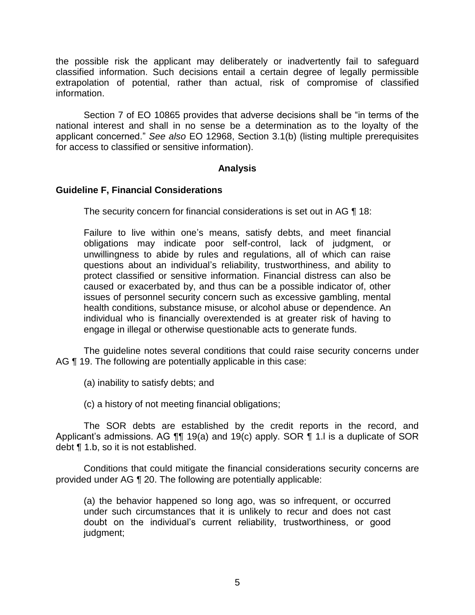the possible risk the applicant may deliberately or inadvertently fail to safeguard classified information. Such decisions entail a certain degree of legally permissible extrapolation of potential, rather than actual, risk of compromise of classified information.

 Section 7 of EO 10865 provides that adverse decisions shall be "in terms of the national interest and shall in no sense be a determination as to the loyalty of the applicant concerned." *See also* EO 12968, Section 3.1(b) (listing multiple prerequisites for access to classified or sensitive information).

### **Analysis**

### **Guideline F, Financial Considerations**

The security concern for financial considerations is set out in AG ¶ 18:

 Failure to live within one's means, satisfy debts, and meet financial obligations may indicate poor self-control, lack of judgment, or unwillingness to abide by rules and regulations, all of which can raise questions about an individual's reliability, trustworthiness, and ability to protect classified or sensitive information. Financial distress can also be caused or exacerbated by, and thus can be a possible indicator of, other issues of personnel security concern such as excessive gambling, mental individual who is financially overextended is at greater risk of having to health conditions, substance misuse, or alcohol abuse or dependence. An engage in illegal or otherwise questionable acts to generate funds.

 The guideline notes several conditions that could raise security concerns under AG ¶ 19. The following are potentially applicable in this case:

(a) inability to satisfy debts; and

(c) a history of not meeting financial obligations;

 The SOR debts are established by the credit reports in the record, and Applicant's admissions. AG  $\P$  19(a) and 19(c) apply. SOR  $\P$  1. I is a duplicate of SOR debt ¶ 1.b, so it is not established.

 provided under AG ¶ 20. The following are potentially applicable: Conditions that could mitigate the financial considerations security concerns are

(a) the behavior happened so long ago, was so infrequent, or occurred under such circumstances that it is unlikely to recur and does not cast doubt on the individual's current reliability, trustworthiness, or good judgment;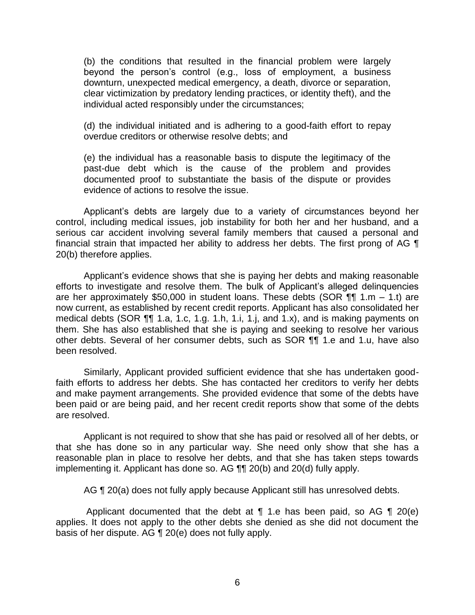(b) the conditions that resulted in the financial problem were largely beyond the person's control (e.g., loss of employment, a business downturn, unexpected medical emergency, a death, divorce or separation, clear victimization by predatory lending practices, or identity theft), and the individual acted responsibly under the circumstances;

(d) the individual initiated and is adhering to a good-faith effort to repay overdue creditors or otherwise resolve debts; and

(e) the individual has a reasonable basis to dispute the legitimacy of the past-due debt which is the cause of the problem and provides documented proof to substantiate the basis of the dispute or provides evidence of actions to resolve the issue.

 Applicant's debts are largely due to a variety of circumstances beyond her control, including medical issues, job instability for both her and her husband, and a serious car accident involving several family members that caused a personal and financial strain that impacted her ability to address her debts. The first prong of AG  $\P$ 20(b) therefore applies.

 Applicant's evidence shows that she is paying her debts and making reasonable efforts to investigate and resolve them. The bulk of Applicant's alleged delinquencies are her approximately \$50,000 in student loans. These debts (SOR ¶¶ 1.m – 1.t) are medical debts (SOR ¶¶ 1.a, 1.c, 1.g. 1.h, 1.i, 1.j, and 1.x), and is making payments on them. She has also established that she is paying and seeking to resolve her various other debts. Several of her consumer debts, such as SOR ¶¶ 1.e and 1.u, have also now current, as established by recent credit reports. Applicant has also consolidated her been resolved.

 Similarly, Applicant provided sufficient evidence that she has undertaken good- faith efforts to address her debts. She has contacted her creditors to verify her debts and make payment arrangements. She provided evidence that some of the debts have been paid or are being paid, and her recent credit reports show that some of the debts are resolved.

 Applicant is not required to show that she has paid or resolved all of her debts, or that she has done so in any particular way. She need only show that she has a reasonable plan in place to resolve her debts, and that she has taken steps towards implementing it. Applicant has done so. AG ¶¶ 20(b) and 20(d) fully apply.

AG  $\P$  20(a) does not fully apply because Applicant still has unresolved debts.

Applicant documented that the debt at  $\P$  1.e has been paid, so AG  $\P$  20(e) applies. It does not apply to the other debts she denied as she did not document the basis of her dispute. AG ¶ 20(e) does not fully apply.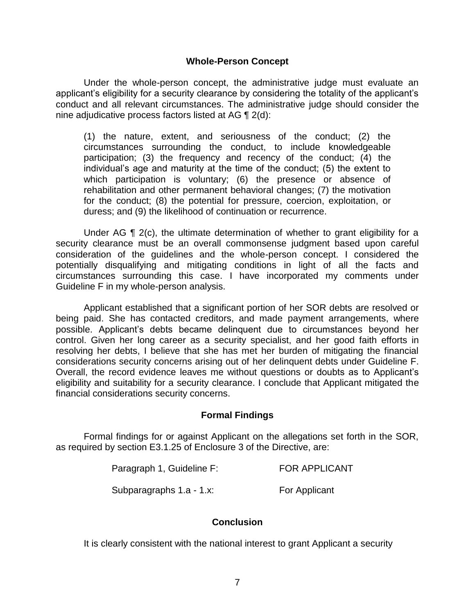### **Whole-Person Concept**

Under the whole-person concept, the administrative judge must evaluate an applicant's eligibility for a security clearance by considering the totality of the applicant's conduct and all relevant circumstances. The administrative judge should consider the nine adjudicative process factors listed at AG ¶ 2(d):

(1) the nature, extent, and seriousness of the conduct; (2) the circumstances surrounding the conduct, to include knowledgeable participation; (3) the frequency and recency of the conduct; (4) the individual's age and maturity at the time of the conduct; (5) the extent to which participation is voluntary; (6) the presence or absence of rehabilitation and other permanent behavioral changes; (7) the motivation for the conduct; (8) the potential for pressure, coercion, exploitation, or duress; and (9) the likelihood of continuation or recurrence.

Under AG  $\P$  2(c), the ultimate determination of whether to grant eligibility for a security clearance must be an overall commonsense judgment based upon careful consideration of the guidelines and the whole-person concept. I considered the potentially disqualifying and mitigating conditions in light of all the facts and circumstances surrounding this case. I have incorporated my comments under Guideline F in my whole-person analysis.

 Applicant established that a significant portion of her SOR debts are resolved or being paid. She has contacted creditors, and made payment arrangements, where possible. Applicant's debts became delinquent due to circumstances beyond her control. Given her long career as a security specialist, and her good faith efforts in resolving her debts, I believe that she has met her burden of mitigating the financial considerations security concerns arising out of her delinquent debts under Guideline F. Overall, the record evidence leaves me without questions or doubts as to Applicant's eligibility and suitability for a security clearance. I conclude that Applicant mitigated the financial considerations security concerns.

#### **Formal Findings**

 Formal findings for or against Applicant on the allegations set forth in the SOR, as required by section E3.1.25 of Enclosure 3 of the Directive, are:

| Paragraph 1, Guideline F: | <b>FOR APPLICANT</b> |
|---------------------------|----------------------|
|---------------------------|----------------------|

Subparagraphs 1.a - 1.x: For Applicant

### **Conclusion**

It is clearly consistent with the national interest to grant Applicant a security